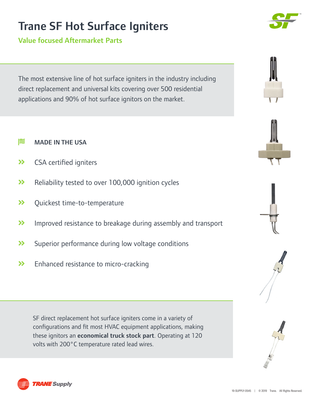## Trane SF Hot Surface Igniters

Value focused Aftermarket Parts

The most extensive line of hot surface igniters in the industry including direct replacement and universal kits covering over 500 residential applications and 90% of hot surface ignitors on the market.

- $\approx$  MADE IN THE USA
- **>>** CSA certified igniters
- **>>** Reliability tested to over 100,000 ignition cycles
- Quickest time-to-temperature
- **>>** Improved resistance to breakage during assembly and transport
- Superior performance during low voltage conditions
- >> Enhanced resistance to micro-cracking

SF direct replacement hot surface igniters come in a variety of configurations and fit most HVAC equipment applications, making these ignitors an economical truck stock part. Operating at 120 volts with 200°C temperature rated lead wires.